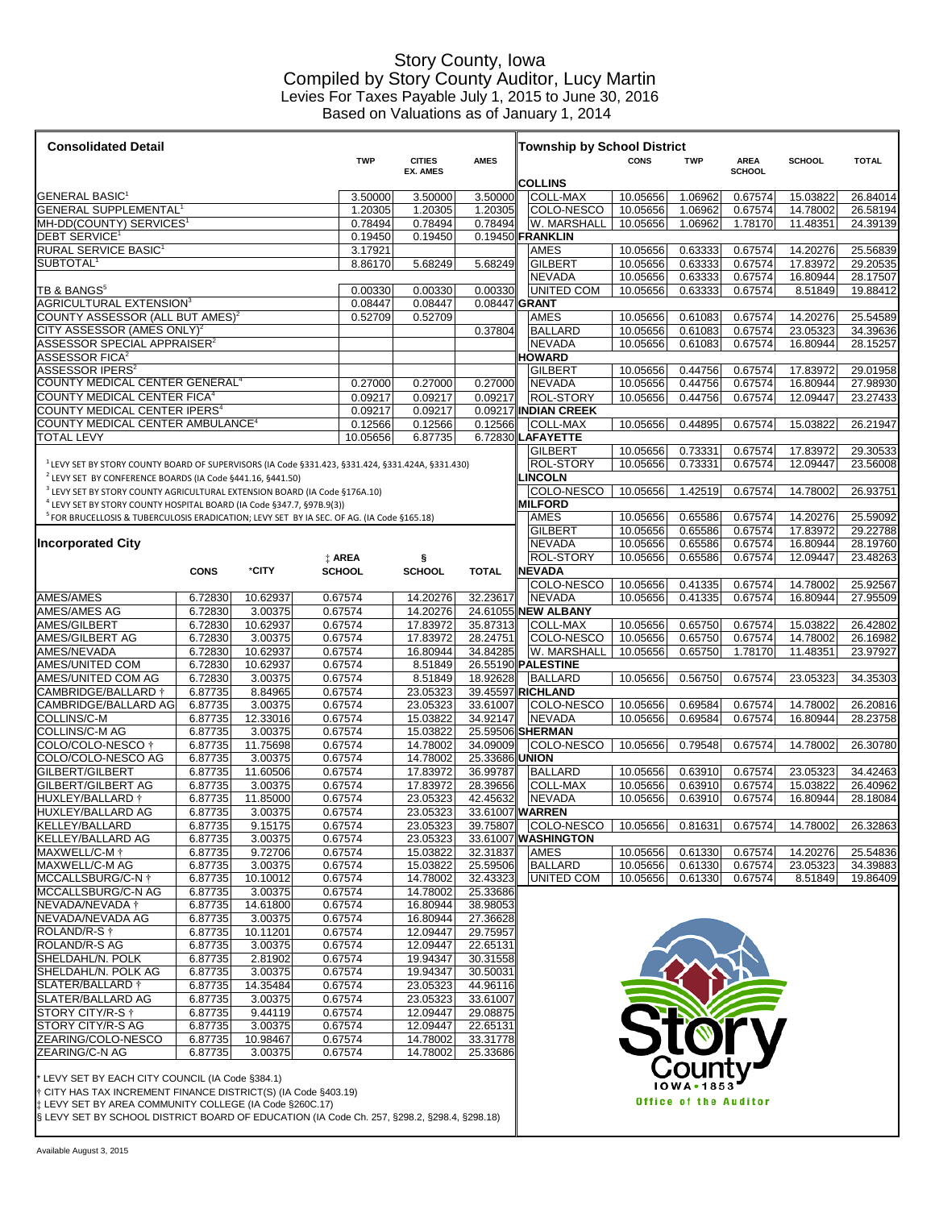## Story County, Iowa Compiled by Story County Auditor, Lucy Martin Levies For Taxes Payable July 1, 2015 to June 30, 2016 Based on Valuations as of January 1, 2014

| <b>Consolidated Detail</b>                                                                                                                                     |                    |                      |                       |                    |                      |                            | <b>Township by School District</b>       |                      |                              |                    |                      |                      |
|----------------------------------------------------------------------------------------------------------------------------------------------------------------|--------------------|----------------------|-----------------------|--------------------|----------------------|----------------------------|------------------------------------------|----------------------|------------------------------|--------------------|----------------------|----------------------|
|                                                                                                                                                                |                    |                      |                       | <b>TWP</b>         | <b>CITIES</b>        | <b>AMES</b>                |                                          | <b>CONS</b>          | <b>TWP</b>                   | <b>AREA</b>        | <b>SCHOOL</b>        | <b>TOTAL</b>         |
|                                                                                                                                                                |                    |                      |                       |                    | <b>EX. AMES</b>      |                            | <b>COLLINS</b>                           |                      |                              | <b>SCHOOL</b>      |                      |                      |
| $\blacksquare$ GENERAL BASIC $^1$                                                                                                                              |                    | 3.50000              | 3.50000               | 3.50000            | <b>COLL-MAX</b>      | 10.05656                   | 1.06962                                  | 0.67574              | 15.03822                     | 26.84014           |                      |                      |
| $\parallel$ GENERAL SUPPLEMENTAL $^1$                                                                                                                          |                    |                      |                       |                    | 1.20305              | 1.20305                    | COLO-NESCO                               | 10.05656             | 1.06962                      | 0.67574            | 14.78002             | 26.58194             |
| $\blackparallel$ MH-DD(COUNTY) SERVICES $^1$                                                                                                                   |                    |                      |                       |                    | 0.78494              | 0.78494                    | W. MARSHALL                              | 10.05656             | 1.06962                      | 1.78170            | 11.48351             | 24.39139             |
| $\mathsf{IDEBT}$ SERVICE $^1$<br>RURAL SERVICE BASIC <sup>1</sup>                                                                                              |                    |                      |                       | 0.19450<br>3.17921 | 0.19450              |                            | 0.19450 FRANKLIN<br><b>AMES</b>          | 10.05656             | 0.63333                      | 0.67574            | 14.20276             | 25.56839             |
| ∥SUBTOTAL <sup>1</sup>                                                                                                                                         |                    |                      |                       | 8.86170            | 5.68249              | 5.68249                    | GILBERT                                  | 10.05656             | 0.63333                      | 0.67574            | 17.83972             | 29.20535             |
|                                                                                                                                                                |                    |                      |                       |                    |                      |                            | <b>NEVADA</b>                            | 10.05656             | 0.63333                      | 0.67574            | 16.80944             | 28.17507             |
| $\overline{\rm TB}$ & ${\rm BANGS^5}$                                                                                                                          |                    |                      |                       | 0.00330            | 0.00330              | 0.00330                    | UNITED COM                               | 10.05656             | 0.63333                      | 0.67574            | 8.51849              | 19.88412             |
| $\mathsf{AGRICULTURAL}$ EXTENSION $^3$<br>$\blacksquare$ COUNTY ASSESSOR (ALL BUT AMES) $^2$                                                                   |                    |                      |                       | 0.08447<br>0.52709 | 0.08447<br>0.52709   | 0.08447 GRANT              | <b>AMES</b>                              | 10.05656             | 0.61083                      | 0.67574            | 14.20276             | 25.54589             |
| $\ $ CITY ASSESSOR (AMES ONLY) $^2$ .                                                                                                                          |                    |                      |                       |                    |                      | 0.37804                    | BALLARD                                  | 10.05656             | 0.61083                      | 0.67574            | 23.05323             | 34.39636             |
| ASSESSOR SPECIAL APPRAISER <sup>2</sup>                                                                                                                        |                    |                      |                       |                    |                      |                            | <b>NEVADA</b>                            | 10.05656             | 0.61083                      | 0.67574            | 16.80944             | 28.15257             |
| $ {\sf ASSESSOR}$ FICA $^2$                                                                                                                                    |                    |                      |                       |                    |                      |                            | <b>HOWARD</b>                            |                      |                              |                    |                      |                      |
| $ {\mathsf{ASSESSOR}}$ IPERS $^2$                                                                                                                              |                    |                      |                       |                    |                      |                            | <b>GILBERT</b>                           | 10.05656             | 0.44756                      | 0.67574            | 17.83972             | 29.01958             |
| $\parallel$ COUNTY MEDICAL CENTER GENERAL $^4$<br>$\blacksquare$ COUNTY MEDICAL CENTER FICA $^4$                                                               |                    |                      |                       | 0.27000<br>0.09217 | 0.27000<br>0.09217   | 0.27000<br>0.09217         | <b>NEVADA</b><br><b>ROL-STORY</b>        | 10.05656<br>10.05656 | 0.44756<br>0.44756           | 0.67574<br>0.67574 | 16.80944<br>12.09447 | 27.98930<br>23.27433 |
| $\parallel$ COUNTY MEDICAL CENTER IPERS $^4$                                                                                                                   |                    |                      |                       | 0.09217            | 0.09217              |                            | 0.09217 <b>INDIAN CREEK</b>              |                      |                              |                    |                      |                      |
| COUNTY MEDICAL CENTER AMBULANCE <sup>4</sup>                                                                                                                   |                    |                      |                       | 0.12566            | 0.12566              | 0.12566                    | <b>COLL-MAX</b>                          | 10.05656             | 0.44895                      | 0.67574            | 15.03822             | 26.21947             |
| <b>TOTAL LEVY</b>                                                                                                                                              |                    |                      |                       | 10.05656           | 6.87735              |                            | 6.72830 LAFAYETTE                        |                      |                              |                    |                      |                      |
|                                                                                                                                                                |                    |                      |                       |                    |                      |                            | <b>GILBERT</b>                           | 10.05656             | 0.73331                      | 0.67574            | 17.83972             | 29.30533             |
| $^{\prime}$ LEVY SET BY STORY COUNTY BOARD OF SUPERVISORS (IA Code §331.423, §331.424, §331.424A, §331.430)                                                    |                    |                      |                       |                    |                      |                            | <b>ROL-STORY</b>                         | 10.05656             | 0.73331                      | 0.67574            | 12.09447             | 23.56008             |
| <sup>2</sup> LEVY SET BY CONFERENCE BOARDS (IA Code §441.16, §441.50)<br><sup>3</sup> LEVY SET BY STORY COUNTY AGRICULTURAL EXTENSION BOARD (IA Code §176A.10) |                    |                      |                       |                    |                      |                            | <b>LINCOLN</b><br>COLO-NESCO             | 10.05656             | 1.42519                      | 0.67574            | 14.78002             | 26.93751             |
| LEVY SET BY STORY COUNTY HOSPITAL BOARD (IA Code §347.7, §97B.9(3))                                                                                            |                    |                      |                       |                    |                      |                            | <b>MILFORD</b>                           |                      |                              |                    |                      |                      |
| FOR BRUCELLOSIS & TUBERCULOSIS ERADICATION; LEVY SET BY IA SEC. OF AG. (IA Code §165.18)                                                                       |                    |                      |                       |                    |                      |                            | <b>AMES</b>                              | 10.05656             | 0.65586                      | 0.67574            | 14.20276             | 25.59092             |
|                                                                                                                                                                |                    |                      |                       |                    |                      |                            | <b>GILBERT</b>                           | 10.05656             | 0.65586                      | 0.67574            | 17.83972             | 29.22788             |
| <b>Incorporated City</b>                                                                                                                                       |                    |                      |                       |                    |                      |                            | <b>NEVADA</b>                            | 10.05656             | 0.65586                      | 0.67574            | 16.80944             | 28.19760             |
|                                                                                                                                                                |                    | *CITY                | AREA<br><b>SCHOOL</b> |                    | <b>SCHOOL</b>        | <b>TOTAL</b>               | ROL-STORY<br><b>  NEVADA</b>             | 10.05656             | 0.65586                      | 0.67574            | 12.09447             | 23.48263             |
|                                                                                                                                                                | <b>CONS</b>        |                      |                       |                    |                      |                            | COLO-NESCO                               | 10.05656             | 0.41335                      | 0.67574            | 14.78002             | 25.92567             |
| AMES/AMES                                                                                                                                                      | 6.72830            | 10.62937             | 0.67574               |                    | 14.20276             | 32.23617                   | <b>INEVADA</b>                           | 10.05656             | 0.41335                      | 0.67574            | 16.80944             | 27.95509             |
| ∥AMES/AMES AG                                                                                                                                                  | 6.72830            | 3.00375              | 0.67574               |                    | 14.20276             |                            | 24.61055 NEW ALBANY                      |                      |                              |                    |                      |                      |
| AMES/GILBERT                                                                                                                                                   | 6.72830            | 10.62937             | 0.67574               |                    | 17.83972             | 35.87313                   | <b>COLL-MAX</b>                          | 10.05656             | 0.65750                      | 0.67574            | 15.03822             | 26.42802             |
| AMES/GILBERT AG                                                                                                                                                | 6.72830            | 3.00375              | 0.67574               |                    | 17.83972             | 28.24751                   | <b>COLO-NESCO</b>                        | 10.05656             | 0.65750                      | 0.67574            | 14.78002             | 26.16982             |
| AMES/NEVADA<br><b>AMES/UNITED COM</b>                                                                                                                          | 6.72830<br>6.72830 | 10.62937<br>10.62937 | 0.67574<br>0.67574    |                    | 16.80944<br>8.51849  | 34.84285                   | W. MARSHALL<br>26.55190 <b>PALESTINE</b> | 10.05656             | 0.65750                      | 1.78170            | 11.48351             | 23.97927             |
| AMES/UNITED COM AG                                                                                                                                             | 6.72830            | 3.00375              | 0.67574               |                    | 8.51849              | 18.92628                   | <b>BALLARD</b>                           | 10.05656             | 0.56750                      | 0.67574            | 23.05323             | 34.35303             |
| ICAMBRIDGE/BALLARD †                                                                                                                                           | 6.87735            | 8.84965              | 0.67574               |                    | 23.05323             |                            | 39.45597 RICHLAND                        |                      |                              |                    |                      |                      |
| ∥CAMBRIDGE/BALLARD AG∣                                                                                                                                         | 6.87735            | 3.00375              | 0.67574               |                    | 23.05323             | 33.61007                   | <b>COLO-NESCO</b>                        | 10.05656             | 0.69584                      | 0.67574            | 14.78002             | 26.20816             |
| ∥COLLINS/C-M                                                                                                                                                   | 6.87735            | 12.33016             | 0.67574               |                    | 15.03822             | 34.92147                   | <b>NEVADA</b>                            | 10.05656             | 0.69584                      | 0.67574            | 16.80944             | 28.23758             |
| ∥COLLINS/C-M AG                                                                                                                                                | 6.87735            | 3.00375              | 0.67574               |                    | 15.03822             |                            | 25.59506 SHERMAN                         |                      |                              |                    |                      |                      |
| COLO/COLO-NESCO †<br>∥COLO/COLO-NESCO AG                                                                                                                       | 6.87735<br>6.87735 | 11.75698<br>3.00375  | 0.67574<br>0.67574    |                    | 14.78002<br>14.78002 | 34.09009<br>25.33686 UNION | COLO-NESCO                               | 10.05656             | 0.79548                      | 0.67574            | 14.78002             | 26.30780             |
| GILBERT/GILBERT                                                                                                                                                | 6.87735            | 11.60506             | 0.67574               |                    | 17.83972             | 36.99787                   | <b>BALLARD</b>                           | 10.05656             | 0.63910                      | 0.67574            | 23.05323             | 34.42463             |
| <b>GILBERT/GILBERT AG</b>                                                                                                                                      | 6.87735            | 3.00375              | 0.67574               |                    | 17.83972             | 28.39656                   | <b>COLL-MAX</b>                          | 10.05656             | 0.63910                      | 0.67574            | 15.03822             | 26.40962             |
| HUXLEY/BALLARD †                                                                                                                                               | 6.87735            | 11.85000             | 0.67574               |                    | 23.05323             | 42.45632                   | <b>NEVADA</b>                            | 10.05656             | 0.63910                      | 0.67574            | 16.80944             | 28.18084             |
| <b>IHUXLEY/BALLARD AG</b>                                                                                                                                      | 6.87735            | 3.00375              | 0.67574               |                    | 23.05323             | 33.61007 WARREN            |                                          |                      |                              |                    |                      |                      |
| <b>IKELLEY/BALLARD</b><br>KELLEY/BALLARD AG                                                                                                                    | 6.87735<br>6.87735 | 9.15175<br>3.00375   | 0.67574<br>0.67574    |                    | 23.05323<br>23.05323 | 39.75807                   | <b>COLO-NESCO</b><br>33.61007 WASHINGTON | 10.05656             | 0.81631                      | 0.67574            | 14.78002             | 26.32863             |
| <b>IMAXWELL/C-M t</b>                                                                                                                                          | 6.87735            | 9.72706              | 0.67574               |                    | 15.03822             | 32.31837                   | <b>AMES</b>                              | 10.05656             | 0.61330                      | 0.67574            | 14.20276             | 25.54836             |
| ∥MAXWELL/C-M AG                                                                                                                                                | 6.87735            | 3.00375              | 0.67574               |                    | 15.03822             | 25.59506                   | BALLARD                                  | 10.05656             | 0.61330                      | 0.67574            | 23.05323             | 34.39883             |
| <b>IMCCALLSBURG/C-N †</b>                                                                                                                                      | 6.87735            | 10.10012             | 0.67574               |                    | 14.78002             | 32.43323                   | <b>UNITED COM</b>                        | 10.05656             | 0.61330                      | 0.67574            | 8.51849              | 19.86409             |
| <b>IMCCALLSBURG/C-N AG</b>                                                                                                                                     | 6.87735            | 3.00375              | 0.67574               |                    | 14.78002             | 25.33686                   |                                          |                      |                              |                    |                      |                      |
| <b>INEVADA/NEVADA †</b><br>INEVADA/NEVADA AG                                                                                                                   | 6.87735<br>6.87735 | 14.61800<br>3.00375  | 0.67574<br>0.67574    |                    | 16.80944<br>16.80944 | 38.98053<br>27.36628       |                                          |                      |                              |                    |                      |                      |
| $\parallel$ ROLAND/R-S $\dagger$                                                                                                                               | 6.87735            | 10.11201             | 0.67574               |                    | 12.09447             | 29.75957                   |                                          |                      |                              |                    |                      |                      |
| <b>ROLAND/R-S AG</b>                                                                                                                                           | 6.87735            | 3.00375              | 0.67574               |                    | 12.09447             | 22.65131                   |                                          |                      |                              |                    |                      |                      |
| <b>SHELDAHL/N. POLK</b>                                                                                                                                        | 6.87735            | 2.81902              | 0.67574               |                    | 19.94347             | 30.31558                   |                                          |                      |                              |                    |                      |                      |
| SHELDAHL/N. POLK AG                                                                                                                                            | 6.87735            | 3.00375              | 0.67574               |                    | 19.94347             | 30.50031                   |                                          |                      |                              |                    |                      |                      |
| ∥SLATER/BALLARD †                                                                                                                                              | 6.87735            | 14.35484             | 0.67574               |                    | 23.05323             | 44.96116                   |                                          |                      |                              |                    |                      |                      |
| SLATER/BALLARD AG                                                                                                                                              | 6.87735            | 3.00375              | 0.67574               |                    | 23.05323             | 33.61007                   |                                          |                      |                              |                    |                      |                      |
| <b>STORY CITY/R-S †</b><br><b>STORY CITY/R-S AG</b>                                                                                                            | 6.87735<br>6.87735 | 9.44119<br>3.00375   | 0.67574<br>0.67574    |                    | 12.09447<br>12.09447 | 29.08875<br>22.65131       |                                          |                      | TIOT                         |                    |                      |                      |
| ZEARING/COLO-NESCO                                                                                                                                             | 6.87735            | 10.98467             | 0.67574               |                    | 14.78002             | 33.31778                   |                                          |                      |                              |                    |                      |                      |
| <b>ZEARING/C-N AG</b>                                                                                                                                          | 6.87735            | 3.00375              | 0.67574               |                    | 14.78002             | 25.33686                   |                                          |                      |                              |                    |                      |                      |
|                                                                                                                                                                |                    |                      |                       |                    |                      |                            |                                          |                      | County'                      |                    |                      |                      |
| * LEVY SET BY EACH CITY COUNCIL (IA Code §384.1)                                                                                                               |                    |                      |                       |                    |                      |                            |                                          |                      | 10 W A • 1853                |                    |                      |                      |
| $\parallel$ † CITY HAS TAX INCREMENT FINANCE DISTRICT(S) (IA Code §403.19)<br>∦‡ LEVY SET BY AREA COMMUNITY COLLEGE (IA Code §260C.17)                         |                    |                      |                       |                    |                      |                            |                                          |                      | <b>Office of the Auditor</b> |                    |                      |                      |
| S LEVY SET BY SCHOOL DISTRICT BOARD OF EDUCATION (IA Code Ch. 257, §298.2, §298.4, §298.18)                                                                    |                    |                      |                       |                    |                      |                            |                                          |                      |                              |                    |                      |                      |
|                                                                                                                                                                |                    |                      |                       |                    |                      |                            |                                          |                      |                              |                    |                      |                      |